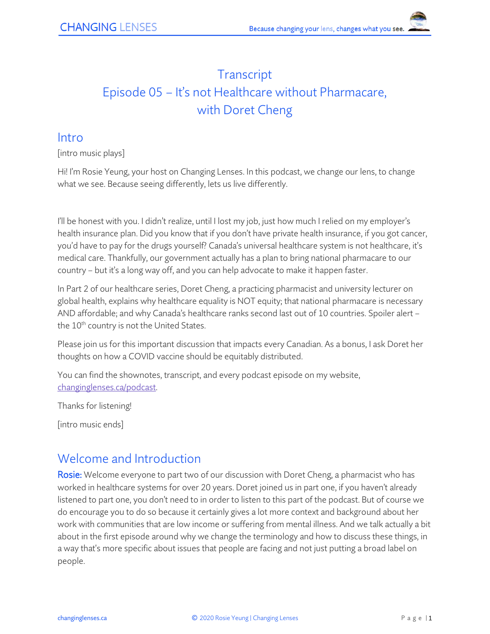# **Transcript** Episode 05 – It's not Healthcare without Pharmacare, with Doret Cheng

### Intro

[intro music plays]

Hi! I'm Rosie Yeung, your host on Changing Lenses. In this podcast, we change our lens, to change what we see. Because seeing differently, lets us live differently.

I'll be honest with you. I didn't realize, until I lost my job, just how much I relied on my employer's health insurance plan. Did you know that if you don't have private health insurance, if you got cancer, you'd have to pay for the drugs yourself? Canada's universal healthcare system is not healthcare, it's medical care. Thankfully, our government actually has a plan to bring national pharmacare to our country – but it's a long way off, and you can help advocate to make it happen faster.

In Part 2 of our healthcare series, Doret Cheng, a practicing pharmacist and university lecturer on global health, explains why healthcare equality is NOT equity; that national pharmacare is necessary AND affordable; and why Canada's healthcare ranks second last out of 10 countries. Spoiler alert – the 10<sup>th</sup> country is not the United States.

Please join us for this important discussion that impacts every Canadian. As a bonus, I ask Doret her thoughts on how a COVID vaccine should be equitably distributed.

You can find the shownotes, transcript, and every podcast episode on my website, [changinglenses.ca/podcast.](https://www.changinglenses.ca/podcast/)

Thanks for listening!

[intro music ends]

### Welcome and Introduction

Rosie: Welcome everyone to part two of our discussion with Doret Cheng, a pharmacist who has worked in healthcare systems for over 20 years. Doret joined us in part one, if you haven't already listened to part one, you don't need to in order to listen to this part of the podcast. But of course we do encourage you to do so because it certainly gives a lot more context and background about her work with communities that are low income or suffering from mental illness. And we talk actually a bit about in the first episode around why we change the terminology and how to discuss these things, in a way that's more specific about issues that people are facing and not just putting a broad label on people.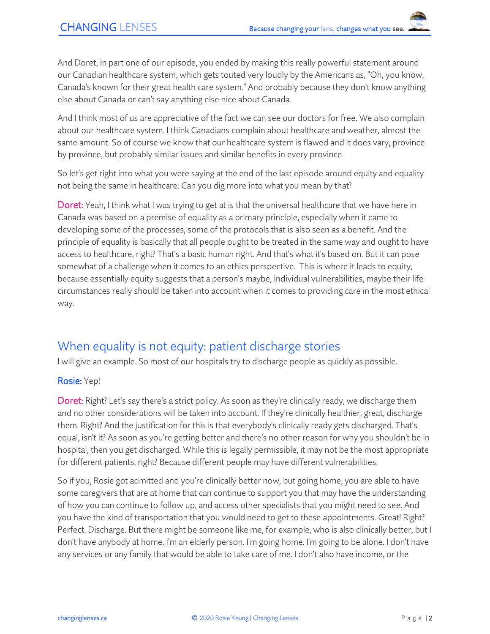And Doret, in part one of our episode, you ended by making this really powerful statement around our Canadian healthcare system, which gets touted very loudly by the Americans as, "Oh, you know, Canada's known for their great health care system." And probably because they don't know anything else about Canada or can't say anything else nice about Canada.

And I think most of us are appreciative of the fact we can see our doctors for free. We also complain about our healthcare system. I think Canadians complain about healthcare and weather, almost the same amount. So of course we know that our healthcare system is flawed and it does vary, province by province, but probably similar issues and similar benefits in every province.

So let's get right into what you were saying at the end of the last episode around equity and equality not being the same in healthcare. Can you dig more into what you mean by that?

Doret: Yeah, I think what I was trying to get at is that the universal healthcare that we have here in Canada was based on a premise of equality as a primary principle, especially when it came to developing some of the processes, some of the protocols that is also seen as a benefit. And the principle of equality is basically that all people ought to be treated in the same way and ought to have access to healthcare, right? That's a basic human right. And that's what it's based on. But it can pose somewhat of a challenge when it comes to an ethics perspective. This is where it leads to equity, because essentially equity suggests that a person's maybe, individual vulnerabilities, maybe their life circumstances really should be taken into account when it comes to providing care in the most ethical way.

### When equality is not equity: patient discharge stories

I will give an example. So most of our hospitals try to discharge people as quickly as possible.

#### Rosie: Yep!

Doret: Right? Let's say there's a strict policy. As soon as they're clinically ready, we discharge them and no other considerations will be taken into account. If they're clinically healthier, great, discharge them. Right? And the justification for this is that everybody's clinically ready gets discharged. That's equal, isn't it? As soon as you're getting better and there's no other reason for why you shouldn't be in hospital, then you get discharged. While this is legally permissible, it may not be the most appropriate for different patients, right? Because different people may have different vulnerabilities.

So if you, Rosie got admitted and you're clinically better now, but going home, you are able to have some caregivers that are at home that can continue to support you that may have the understanding of how you can continue to follow up, and access other specialists that you might need to see. And you have the kind of transportation that you would need to get to these appointments. Great! Right? Perfect. Discharge. But there might be someone like me, for example, who is also clinically better, but I don't have anybody at home. I'm an elderly person. I'm going home. I'm going to be alone. I don't have any services or any family that would be able to take care of me. I don't also have income, or the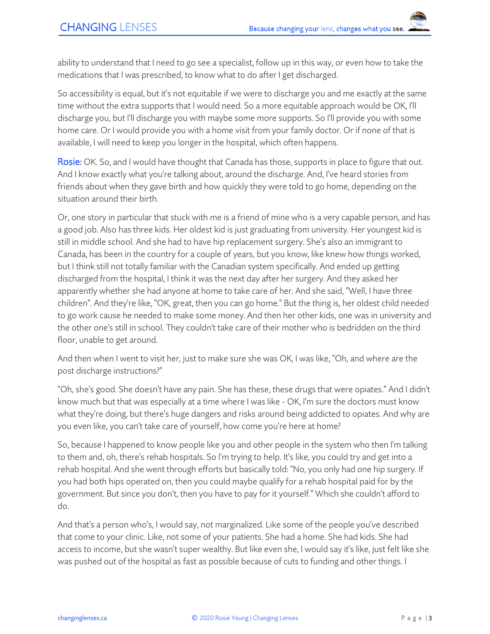ability to understand that I need to go see a specialist, follow up in this way, or even how to take the medications that I was prescribed, to know what to do after I get discharged.

So accessibility is equal, but it's not equitable if we were to discharge you and me exactly at the same time without the extra supports that I would need. So a more equitable approach would be OK, I'll discharge you, but I'll discharge you with maybe some more supports. So I'll provide you with some home care. Or I would provide you with a home visit from your family doctor. Or if none of that is available, I will need to keep you longer in the hospital, which often happens.

**Rosie:** OK. So, and I would have thought that Canada has those, supports in place to figure that out. And I know exactly what you're talking about, around the discharge. And, I've heard stories from friends about when they gave birth and how quickly they were told to go home, depending on the situation around their birth.

Or, one story in particular that stuck with me is a friend of mine who is a very capable person, and has a good job. Also has three kids. Her oldest kid is just graduating from university. Her youngest kid is still in middle school. And she had to have hip replacement surgery. She's also an immigrant to Canada, has been in the country for a couple of years, but you know, like knew how things worked, but I think still not totally familiar with the Canadian system specifically. And ended up getting discharged from the hospital, I think it was the next day after her surgery. And they asked her apparently whether she had anyone at home to take care of her. And she said, "Well, I have three children". And they're like, "OK, great, then you can go home." But the thing is, her oldest child needed to go work cause he needed to make some money. And then her other kids, one was in university and the other one's still in school. They couldn't take care of their mother who is bedridden on the third floor, unable to get around.

And then when I went to visit her, just to make sure she was OK, I was like, "Oh, and where are the post discharge instructions?"

"Oh, she's good. She doesn't have any pain. She has these, these drugs that were opiates." And I didn't know much but that was especially at a time where I was like - OK, I'm sure the doctors must know what they're doing, but there's huge dangers and risks around being addicted to opiates. And why are you even like, you can't take care of yourself, how come you're here at home?

So, because I happened to know people like you and other people in the system who then I'm talking to them and, oh, there's rehab hospitals. So I'm trying to help. It's like, you could try and get into a rehab hospital. And she went through efforts but basically told: "No, you only had one hip surgery. If you had both hips operated on, then you could maybe qualify for a rehab hospital paid for by the government. But since you don't, then you have to pay for it yourself." Which she couldn't afford to do.

And that's a person who's, I would say, not marginalized. Like some of the people you've described that come to your clinic. Like, not some of your patients. She had a home. She had kids. She had access to income, but she wasn't super wealthy. But like even she, I would say it's like, just felt like she was pushed out of the hospital as fast as possible because of cuts to funding and other things. I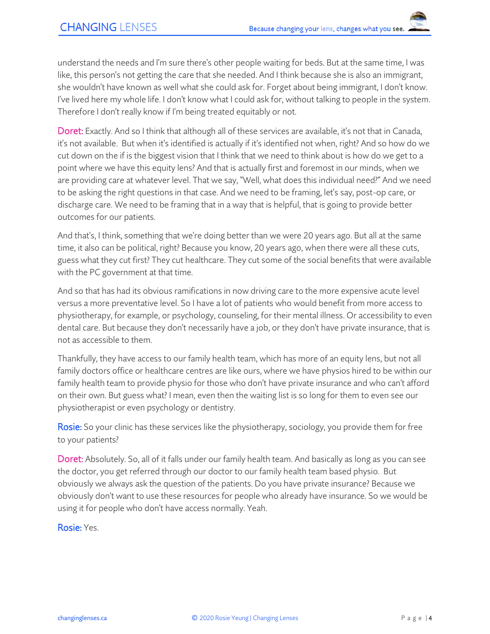understand the needs and I'm sure there's other people waiting for beds. But at the same time, I was like, this person's not getting the care that she needed. And I think because she is also an immigrant, she wouldn't have known as well what she could ask for. Forget about being immigrant, I don't know. I've lived here my whole life. I don't know what I could ask for, without talking to people in the system. Therefore I don't really know if I'm being treated equitably or not.

Doret: Exactly. And so I think that although all of these services are available, it's not that in Canada, it's not available. But when it's identified is actually if it's identified not when, right? And so how do we cut down on the if is the biggest vision that I think that we need to think about is how do we get to a point where we have this equity lens? And that is actually first and foremost in our minds, when we are providing care at whatever level. That we say, "Well, what does this individual need?" And we need to be asking the right questions in that case. And we need to be framing, let's say, post-op care, or discharge care. We need to be framing that in a way that is helpful, that is going to provide better outcomes for our patients.

And that's, I think, something that we're doing better than we were 20 years ago. But all at the same time, it also can be political, right? Because you know, 20 years ago, when there were all these cuts, guess what they cut first? They cut healthcare. They cut some of the social benefits that were available with the PC government at that time.

And so that has had its obvious ramifications in now driving care to the more expensive acute level versus a more preventative level. So I have a lot of patients who would benefit from more access to physiotherapy, for example, or psychology, counseling, for their mental illness. Or accessibility to even dental care. But because they don't necessarily have a job, or they don't have private insurance, that is not as accessible to them.

Thankfully, they have access to our family health team, which has more of an equity lens, but not all family doctors office or healthcare centres are like ours, where we have physios hired to be within our family health team to provide physio for those who don't have private insurance and who can't afford on their own. But guess what? I mean, even then the waiting list is so long for them to even see our physiotherapist or even psychology or dentistry.

Rosie: So your clinic has these services like the physiotherapy, sociology, you provide them for free to your patients?

Doret: Absolutely. So, all of it falls under our family health team. And basically as long as you can see the doctor, you get referred through our doctor to our family health team based physio. But obviously we always ask the question of the patients. Do you have private insurance? Because we obviously don't want to use these resources for people who already have insurance. So we would be using it for people who don't have access normally. Yeah.

Rosie: Yes.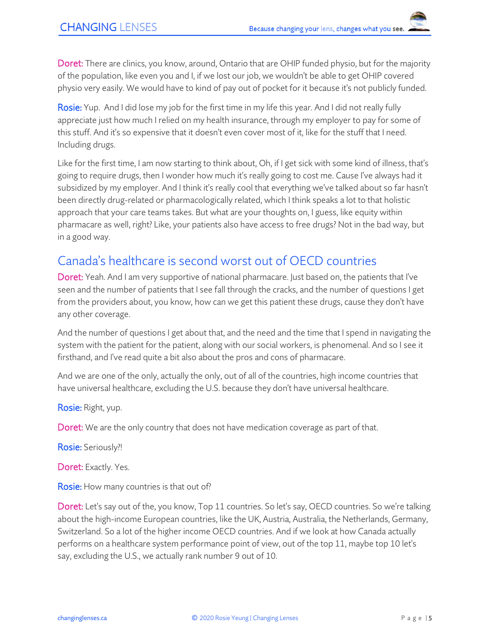Doret: There are clinics, you know, around, Ontario that are OHIP funded physio, but for the majority of the population, like even you and I, if we lost our job, we wouldn't be able to get OHIP covered physio very easily. We would have to kind of pay out of pocket for it because it's not publicly funded.

Rosie: Yup. And I did lose my job for the first time in my life this year. And I did not really fully appreciate just how much I relied on my health insurance, through my employer to pay for some of this stuff. And it's so expensive that it doesn't even cover most of it, like for the stuff that I need. Including drugs.

Like for the first time, I am now starting to think about, Oh, if I get sick with some kind of illness, that's going to require drugs, then I wonder how much it's really going to cost me. Cause I've always had it subsidized by my employer. And I think it's really cool that everything we've talked about so far hasn't been directly drug-related or pharmacologically related, which I think speaks a lot to that holistic approach that your care teams takes. But what are your thoughts on, I guess, like equity within pharmacare as well, right? Like, your patients also have access to free drugs? Not in the bad way, but in a good way.

### Canada's healthcare is second worst out of OECD countries

Doret: Yeah. And I am very supportive of national pharmacare. Just based on, the patients that I've seen and the number of patients that I see fall through the cracks, and the number of questions I get from the providers about, you know, how can we get this patient these drugs, cause they don't have any other coverage.

And the number of questions I get about that, and the need and the time that I spend in navigating the system with the patient for the patient, along with our social workers, is phenomenal. And so I see it firsthand, and I've read quite a bit also about the pros and cons of pharmacare.

And we are one of the only, actually the only, out of all of the countries, high income countries that have universal healthcare, excluding the U.S. because they don't have universal healthcare.

Rosie: Right, yup.

Doret: We are the only country that does not have medication coverage as part of that.

Rosie: Seriously?!

Doret: Exactly. Yes.

Rosie: How many countries is that out of?

Doret: Let's say out of the, you know, Top 11 countries. So let's say, OECD countries. So we're talking about the high-income European countries, like the UK, Austria, Australia, the Netherlands, Germany, Switzerland. So a lot of the higher income OECD countries. And if we look at how Canada actually performs on a healthcare system performance point of view, out of the top 11, maybe top 10 let's say, excluding the U.S., we actually rank number 9 out of 10.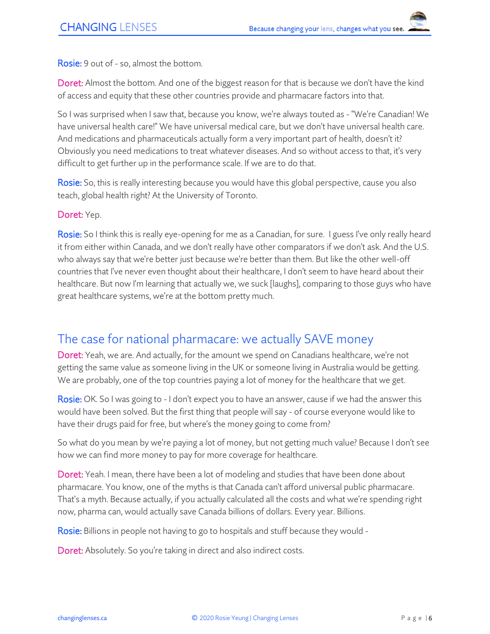Rosie: 9 out of - so, almost the bottom.

Doret: Almost the bottom. And one of the biggest reason for that is because we don't have the kind of access and equity that these other countries provide and pharmacare factors into that.

So I was surprised when I saw that, because you know, we're always touted as - "We're Canadian! We have universal health care!" We have universal medical care, but we don't have universal health care. And medications and pharmaceuticals actually form a very important part of health, doesn't it? Obviously you need medications to treat whatever diseases. And so without access to that, it's very difficult to get further up in the performance scale. If we are to do that.

Rosie: So, this is really interesting because you would have this global perspective, cause you also teach, global health right? At the University of Toronto.

Doret: Yep.

Rosie: So I think this is really eye-opening for me as a Canadian, for sure. I guess I've only really heard it from either within Canada, and we don't really have other comparators if we don't ask. And the U.S. who always say that we're better just because we're better than them. But like the other well-off countries that I've never even thought about their healthcare, I don't seem to have heard about their healthcare. But now I'm learning that actually we, we suck [laughs], comparing to those guys who have great healthcare systems, we're at the bottom pretty much.

### The case for national pharmacare: we actually SAVE money

Doret: Yeah, we are. And actually, for the amount we spend on Canadians healthcare, we're not getting the same value as someone living in the UK or someone living in Australia would be getting. We are probably, one of the top countries paying a lot of money for the healthcare that we get.

Rosie: OK. So I was going to - I don't expect you to have an answer, cause if we had the answer this would have been solved. But the first thing that people will say - of course everyone would like to have their drugs paid for free, but where's the money going to come from?

So what do you mean by we're paying a lot of money, but not getting much value? Because I don't see how we can find more money to pay for more coverage for healthcare.

Doret: Yeah. I mean, there have been a lot of modeling and studies that have been done about pharmacare. You know, one of the myths is that Canada can't afford universal public pharmacare. That's a myth. Because actually, if you actually calculated all the costs and what we're spending right now, pharma can, would actually save Canada billions of dollars. Every year. Billions.

Rosie: Billions in people not having to go to hospitals and stuff because they would -

Doret: Absolutely. So you're taking in direct and also indirect costs.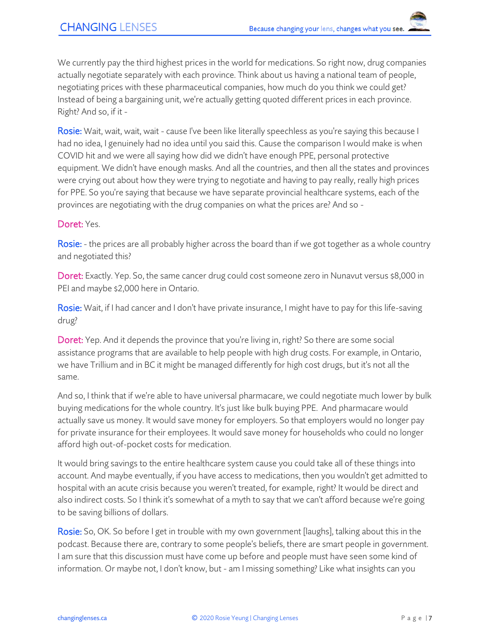We currently pay the third highest prices in the world for medications. So right now, drug companies actually negotiate separately with each province. Think about us having a national team of people, negotiating prices with these pharmaceutical companies, how much do you think we could get? Instead of being a bargaining unit, we're actually getting quoted different prices in each province. Right? And so, if it -

Rosie: Wait, wait, wait, wait - cause I've been like literally speechless as you're saying this because I had no idea, I genuinely had no idea until you said this. Cause the comparison I would make is when COVID hit and we were all saying how did we didn't have enough PPE, personal protective equipment. We didn't have enough masks. And all the countries, and then all the states and provinces were crying out about how they were trying to negotiate and having to pay really, really high prices for PPE. So you're saying that because we have separate provincial healthcare systems, each of the provinces are negotiating with the drug companies on what the prices are? And so -

#### Doret: Yes.

Rosie: - the prices are all probably higher across the board than if we got together as a whole country and negotiated this?

Doret: Exactly. Yep. So, the same cancer drug could cost someone zero in Nunavut versus \$8,000 in PEI and maybe \$2,000 here in Ontario.

Rosie: Wait, if I had cancer and I don't have private insurance, I might have to pay for this life-saving drug?

Doret: Yep. And it depends the province that you're living in, right? So there are some social assistance programs that are available to help people with high drug costs. For example, in Ontario, we have Trillium and in BC it might be managed differently for high cost drugs, but it's not all the same.

And so, I think that if we're able to have universal pharmacare, we could negotiate much lower by bulk buying medications for the whole country. It's just like bulk buying PPE. And pharmacare would actually save us money. It would save money for employers. So that employers would no longer pay for private insurance for their employees. It would save money for households who could no longer afford high out-of-pocket costs for medication.

It would bring savings to the entire healthcare system cause you could take all of these things into account. And maybe eventually, if you have access to medications, then you wouldn't get admitted to hospital with an acute crisis because you weren't treated, for example, right? It would be direct and also indirect costs. So I think it's somewhat of a myth to say that we can't afford because we're going to be saving billions of dollars.

**Rosie:** So, OK. So before I get in trouble with my own government [laughs], talking about this in the podcast. Because there are, contrary to some people's beliefs, there are smart people in government. I am sure that this discussion must have come up before and people must have seen some kind of information. Or maybe not, I don't know, but - am I missing something? Like what insights can you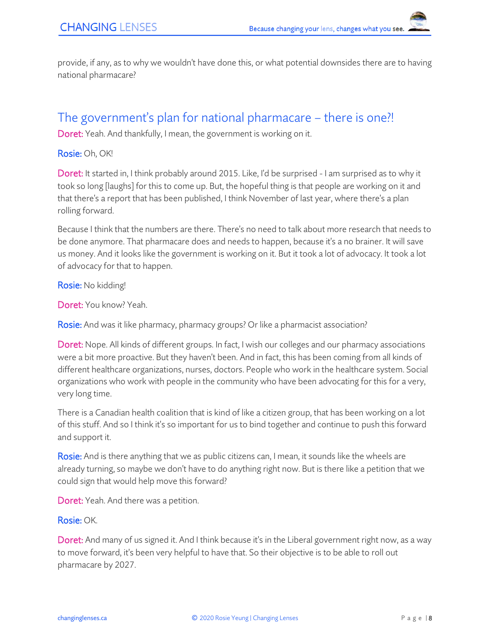provide, if any, as to why we wouldn't have done this, or what potential downsides there are to having national pharmacare?

### The government's plan for national pharmacare – there is one?!

Doret: Yeah. And thankfully, I mean, the government is working on it.

Rosie: Oh, OK!

Doret: It started in, I think probably around 2015. Like, I'd be surprised - I am surprised as to why it took so long [laughs] for this to come up. But, the hopeful thing is that people are working on it and that there's a report that has been published, I think November of last year, where there's a plan rolling forward.

Because I think that the numbers are there. There's no need to talk about more research that needs to be done anymore. That pharmacare does and needs to happen, because it's a no brainer. It will save us money. And it looks like the government is working on it. But it took a lot of advocacy. It took a lot of advocacy for that to happen.

Rosie: No kidding!

Doret: You know? Yeah.

Rosie: And was it like pharmacy, pharmacy groups? Or like a pharmacist association?

Doret: Nope. All kinds of different groups. In fact, I wish our colleges and our pharmacy associations were a bit more proactive. But they haven't been. And in fact, this has been coming from all kinds of different healthcare organizations, nurses, doctors. People who work in the healthcare system. Social organizations who work with people in the community who have been advocating for this for a very, very long time.

There is a Canadian health coalition that is kind of like a citizen group, that has been working on a lot of this stuff. And so I think it's so important for us to bind together and continue to push this forward and support it.

Rosie: And is there anything that we as public citizens can, I mean, it sounds like the wheels are already turning, so maybe we don't have to do anything right now. But is there like a petition that we could sign that would help move this forward?

Doret: Yeah. And there was a petition.

#### Rosie: OK.

Doret: And many of us signed it. And I think because it's in the Liberal government right now, as a way to move forward, it's been very helpful to have that. So their objective is to be able to roll out pharmacare by 2027.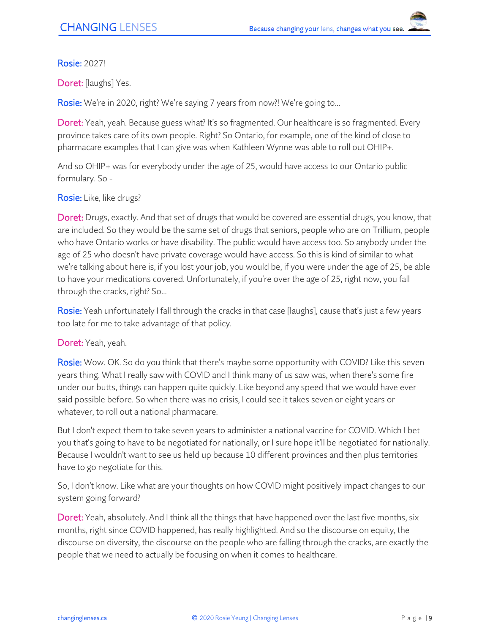#### Rosie: 2027!

Doret: [laughs] Yes.

Rosie: We're in 2020, right? We're saying 7 years from now?! We're going to...

Doret: Yeah, yeah. Because guess what? It's so fragmented. Our healthcare is so fragmented. Every province takes care of its own people. Right? So Ontario, for example, one of the kind of close to pharmacare examples that I can give was when Kathleen Wynne was able to roll out OHIP+.

And so OHIP+ was for everybody under the age of 25, would have access to our Ontario public formulary. So -

#### Rosie: Like, like drugs?

Doret: Drugs, exactly. And that set of drugs that would be covered are essential drugs, you know, that are included. So they would be the same set of drugs that seniors, people who are on Trillium, people who have Ontario works or have disability. The public would have access too. So anybody under the age of 25 who doesn't have private coverage would have access. So this is kind of similar to what we're talking about here is, if you lost your job, you would be, if you were under the age of 25, be able to have your medications covered. Unfortunately, if you're over the age of 25, right now, you fall through the cracks, right? So...

Rosie: Yeah unfortunately I fall through the cracks in that case [laughs], cause that's just a few years too late for me to take advantage of that policy.

#### Doret: Yeah, yeah.

Rosie: Wow. OK. So do you think that there's maybe some opportunity with COVID? Like this seven years thing. What I really saw with COVID and I think many of us saw was, when there's some fire under our butts, things can happen quite quickly. Like beyond any speed that we would have ever said possible before. So when there was no crisis, I could see it takes seven or eight years or whatever, to roll out a national pharmacare.

But I don't expect them to take seven years to administer a national vaccine for COVID. Which I bet you that's going to have to be negotiated for nationally, or I sure hope it'll be negotiated for nationally. Because I wouldn't want to see us held up because 10 different provinces and then plus territories have to go negotiate for this.

So, I don't know. Like what are your thoughts on how COVID might positively impact changes to our system going forward?

Doret: Yeah, absolutely. And I think all the things that have happened over the last five months, six months, right since COVID happened, has really highlighted. And so the discourse on equity, the discourse on diversity, the discourse on the people who are falling through the cracks, are exactly the people that we need to actually be focusing on when it comes to healthcare.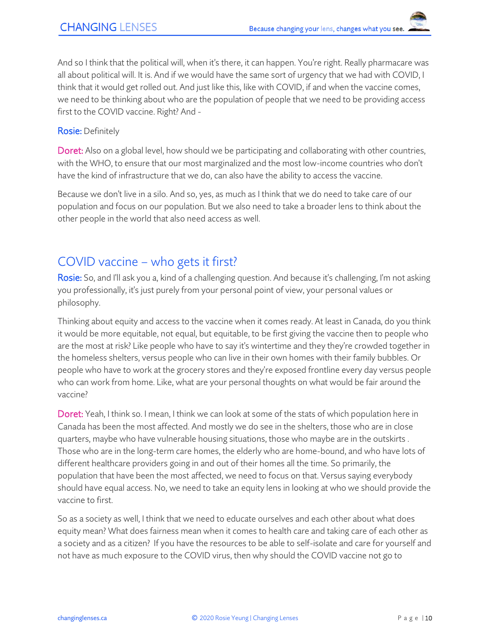And so I think that the political will, when it's there, it can happen. You're right. Really pharmacare was all about political will. It is. And if we would have the same sort of urgency that we had with COVID, I think that it would get rolled out. And just like this, like with COVID, if and when the vaccine comes, we need to be thinking about who are the population of people that we need to be providing access first to the COVID vaccine. Right? And -

#### Rosie: Definitely

Doret: Also on a global level, how should we be participating and collaborating with other countries, with the WHO, to ensure that our most marginalized and the most low-income countries who don't have the kind of infrastructure that we do, can also have the ability to access the vaccine.

Because we don't live in a silo. And so, yes, as much as I think that we do need to take care of our population and focus on our population. But we also need to take a broader lens to think about the other people in the world that also need access as well.

### COVID vaccine – who gets it first?

Rosie: So, and I'll ask you a, kind of a challenging question. And because it's challenging, I'm not asking you professionally, it's just purely from your personal point of view, your personal values or philosophy.

Thinking about equity and access to the vaccine when it comes ready. At least in Canada, do you think it would be more equitable, not equal, but equitable, to be first giving the vaccine then to people who are the most at risk? Like people who have to say it's wintertime and they they're crowded together in the homeless shelters, versus people who can live in their own homes with their family bubbles. Or people who have to work at the grocery stores and they're exposed frontline every day versus people who can work from home. Like, what are your personal thoughts on what would be fair around the vaccine?

Doret: Yeah, I think so. I mean, I think we can look at some of the stats of which population here in Canada has been the most affected. And mostly we do see in the shelters, those who are in close quarters, maybe who have vulnerable housing situations, those who maybe are in the outskirts . Those who are in the long-term care homes, the elderly who are home-bound, and who have lots of different healthcare providers going in and out of their homes all the time. So primarily, the population that have been the most affected, we need to focus on that. Versus saying everybody should have equal access. No, we need to take an equity lens in looking at who we should provide the vaccine to first.

So as a society as well, I think that we need to educate ourselves and each other about what does equity mean? What does fairness mean when it comes to health care and taking care of each other as a society and as a citizen? If you have the resources to be able to self-isolate and care for yourself and not have as much exposure to the COVID virus, then why should the COVID vaccine not go to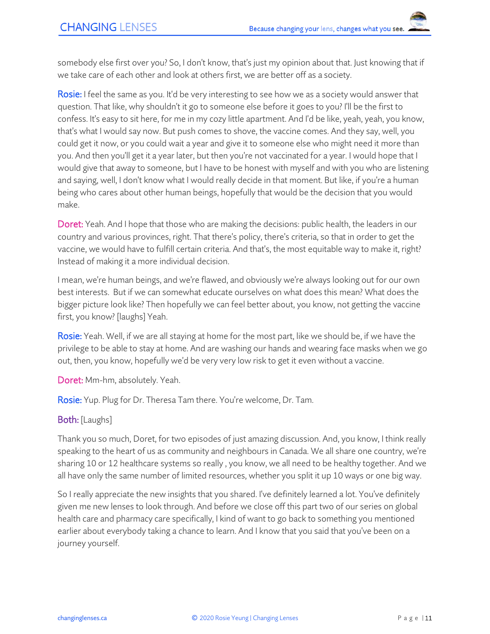somebody else first over you? So, I don't know, that's just my opinion about that. Just knowing that if we take care of each other and look at others first, we are better off as a society.

Rosie: I feel the same as you. It'd be very interesting to see how we as a society would answer that question. That like, why shouldn't it go to someone else before it goes to you? I'll be the first to confess. It's easy to sit here, for me in my cozy little apartment. And I'd be like, yeah, yeah, you know, that's what I would say now. But push comes to shove, the vaccine comes. And they say, well, you could get it now, or you could wait a year and give it to someone else who might need it more than you. And then you'll get it a year later, but then you're not vaccinated for a year. I would hope that I would give that away to someone, but I have to be honest with myself and with you who are listening and saying, well, I don't know what I would really decide in that moment. But like, if you're a human being who cares about other human beings, hopefully that would be the decision that you would make.

Doret: Yeah. And I hope that those who are making the decisions: public health, the leaders in our country and various provinces, right. That there's policy, there's criteria, so that in order to get the vaccine, we would have to fulfill certain criteria. And that's, the most equitable way to make it, right? Instead of making it a more individual decision.

I mean, we're human beings, and we're flawed, and obviously we're always looking out for our own best interests. But if we can somewhat educate ourselves on what does this mean? What does the bigger picture look like? Then hopefully we can feel better about, you know, not getting the vaccine first, you know? [laughs] Yeah.

Rosie: Yeah. Well, if we are all staying at home for the most part, like we should be, if we have the privilege to be able to stay at home. And are washing our hands and wearing face masks when we go out, then, you know, hopefully we'd be very very low risk to get it even without a vaccine.

Doret: Mm-hm, absolutely. Yeah.

Rosie: Yup. Plug for Dr. Theresa Tam there. You're welcome, Dr. Tam.

#### Both: [Laughs]

Thank you so much, Doret, for two episodes of just amazing discussion. And, you know, I think really speaking to the heart of us as community and neighbours in Canada. We all share one country, we're sharing 10 or 12 healthcare systems so really , you know, we all need to be healthy together. And we all have only the same number of limited resources, whether you split it up 10 ways or one big way.

So I really appreciate the new insights that you shared. I've definitely learned a lot. You've definitely given me new lenses to look through. And before we close off this part two of our series on global health care and pharmacy care specifically, I kind of want to go back to something you mentioned earlier about everybody taking a chance to learn. And I know that you said that you've been on a journey yourself.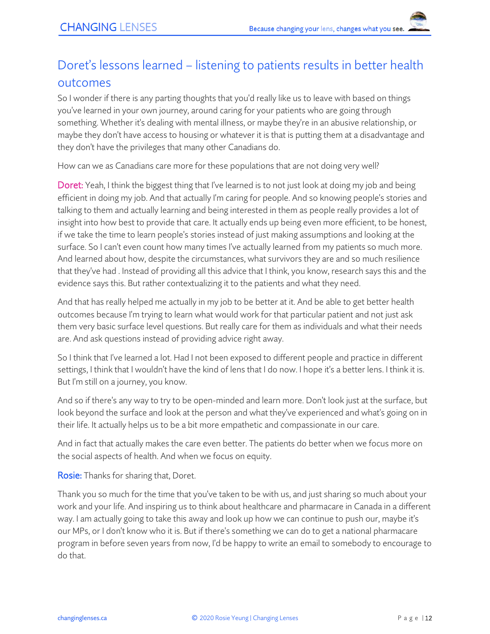# Doret's lessons learned – listening to patients results in better health outcomes

So I wonder if there is any parting thoughts that you'd really like us to leave with based on things you've learned in your own journey, around caring for your patients who are going through something. Whether it's dealing with mental illness, or maybe they're in an abusive relationship, or maybe they don't have access to housing or whatever it is that is putting them at a disadvantage and they don't have the privileges that many other Canadians do.

How can we as Canadians care more for these populations that are not doing very well?

Doret: Yeah, I think the biggest thing that I've learned is to not just look at doing my job and being efficient in doing my job. And that actually I'm caring for people. And so knowing people's stories and talking to them and actually learning and being interested in them as people really provides a lot of insight into how best to provide that care. It actually ends up being even more efficient, to be honest, if we take the time to learn people's stories instead of just making assumptions and looking at the surface. So I can't even count how many times I've actually learned from my patients so much more. And learned about how, despite the circumstances, what survivors they are and so much resilience that they've had . Instead of providing all this advice that I think, you know, research says this and the evidence says this. But rather contextualizing it to the patients and what they need.

And that has really helped me actually in my job to be better at it. And be able to get better health outcomes because I'm trying to learn what would work for that particular patient and not just ask them very basic surface level questions. But really care for them as individuals and what their needs are. And ask questions instead of providing advice right away.

So I think that I've learned a lot. Had I not been exposed to different people and practice in different settings, I think that I wouldn't have the kind of lens that I do now. I hope it's a better lens. I think it is. But I'm still on a journey, you know.

And so if there's any way to try to be open-minded and learn more. Don't look just at the surface, but look beyond the surface and look at the person and what they've experienced and what's going on in their life. It actually helps us to be a bit more empathetic and compassionate in our care.

And in fact that actually makes the care even better. The patients do better when we focus more on the social aspects of health. And when we focus on equity.

Rosie: Thanks for sharing that, Doret.

Thank you so much for the time that you've taken to be with us, and just sharing so much about your work and your life. And inspiring us to think about healthcare and pharmacare in Canada in a different way. I am actually going to take this away and look up how we can continue to push our, maybe it's our MPs, or I don't know who it is. But if there's something we can do to get a national pharmacare program in before seven years from now, I'd be happy to write an email to somebody to encourage to do that.